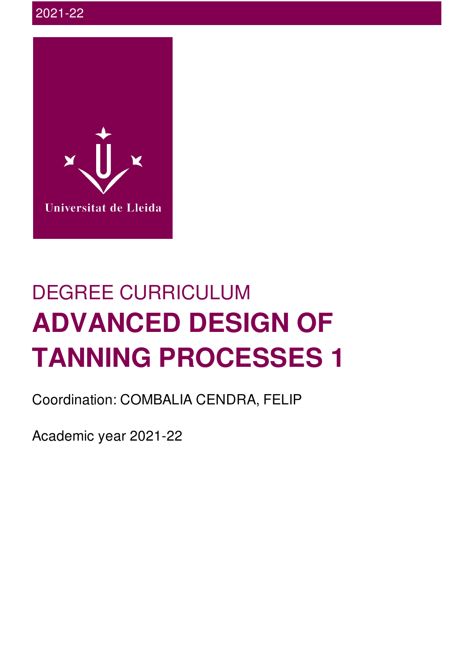

# DEGREE CURRICULUM **ADVANCED DESIGN OF TANNING PROCESSES 1**

Coordination: COMBALIA CENDRA, FELIP

Academic year 2021-22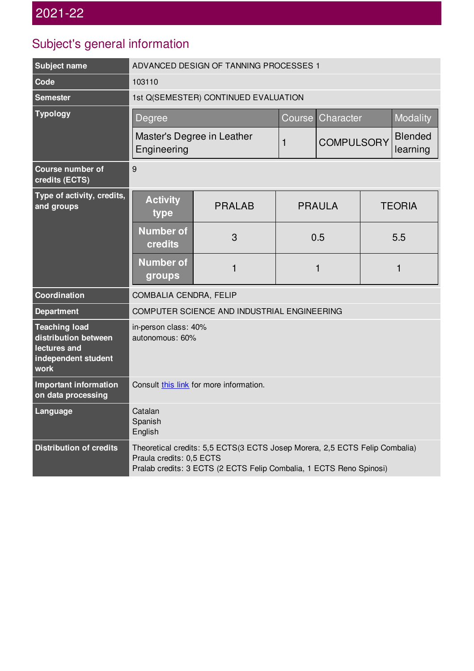## Subject's general information

| <b>Subject name</b>                                                                         | ADVANCED DESIGN OF TANNING PROCESSES 1                                                                                                                                         |                     |                           |                   |                 |                            |  |
|---------------------------------------------------------------------------------------------|--------------------------------------------------------------------------------------------------------------------------------------------------------------------------------|---------------------|---------------------------|-------------------|-----------------|----------------------------|--|
| Code                                                                                        | 103110                                                                                                                                                                         |                     |                           |                   |                 |                            |  |
| <b>Semester</b>                                                                             | 1st Q(SEMESTER) CONTINUED EVALUATION                                                                                                                                           |                     |                           |                   |                 |                            |  |
| <b>Typology</b>                                                                             | Degree                                                                                                                                                                         | Character<br>Course |                           |                   | <b>Modality</b> |                            |  |
|                                                                                             | Master's Degree in Leather<br>Engineering                                                                                                                                      |                     | $\mathbf{1}$              | <b>COMPULSORY</b> |                 | <b>Blended</b><br>learning |  |
| <b>Course number of</b><br>credits (ECTS)                                                   | 9                                                                                                                                                                              |                     |                           |                   |                 |                            |  |
| Type of activity, credits,<br>and groups                                                    | <b>Activity</b><br>type                                                                                                                                                        | <b>PRALAB</b>       | <b>PRAULA</b><br>0.5<br>1 |                   |                 | <b>TEORIA</b>              |  |
|                                                                                             | <b>Number of</b><br>credits                                                                                                                                                    | 3                   |                           |                   | 5.5             |                            |  |
|                                                                                             | <b>Number of</b><br>groups                                                                                                                                                     | 1                   |                           |                   | 1               |                            |  |
| <b>Coordination</b>                                                                         | COMBALIA CENDRA, FELIP                                                                                                                                                         |                     |                           |                   |                 |                            |  |
| <b>Department</b>                                                                           | COMPUTER SCIENCE AND INDUSTRIAL ENGINEERING                                                                                                                                    |                     |                           |                   |                 |                            |  |
| <b>Teaching load</b><br>distribution between<br>lectures and<br>independent student<br>work | in-person class: 40%<br>autonomous: 60%                                                                                                                                        |                     |                           |                   |                 |                            |  |
| <b>Important information</b><br>on data processing                                          | Consult this link for more information.                                                                                                                                        |                     |                           |                   |                 |                            |  |
| Language                                                                                    | Catalan<br>Spanish<br>English                                                                                                                                                  |                     |                           |                   |                 |                            |  |
| <b>Distribution of credits</b>                                                              | Theoretical credits: 5,5 ECTS(3 ECTS Josep Morera, 2,5 ECTS Felip Combalia)<br>Praula credits: 0,5 ECTS<br>Pralab credits: 3 ECTS (2 ECTS Felip Combalia, 1 ECTS Reno Spinosi) |                     |                           |                   |                 |                            |  |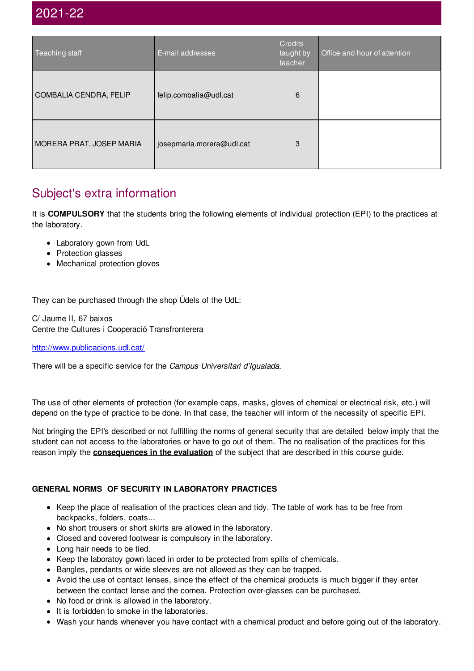| Teaching staff           | E-mail addresses          | <b>Credits</b><br>taught by<br>teacher | Office and hour of attention |
|--------------------------|---------------------------|----------------------------------------|------------------------------|
| COMBALIA CENDRA, FELIP   | felip.combalia@udl.cat    | 6                                      |                              |
| MORERA PRAT, JOSEP MARIA | josepmaria.morera@udl.cat | 3                                      |                              |

## Subject's extra information

It is **COMPULSORY** that the students bring the following elements of individual protection (EPI) to the practices at the laboratory.

- Laboratory gown from UdL
- Protection glasses
- Mechanical protection gloves

They can be purchased through the shop Údels of the UdL:

C/ Jaume II, 67 baixos Centre the Cultures i Cooperació Transfronterera

<http://www.publicacions.udl.cat/>

There will be a specific service for the *Campus Universitari d'Igualada*.

The use of other elements of protection (for example caps, masks, gloves of chemical or electrical risk, etc.) will depend on the type of practice to be done. In that case, the teacher will inform of the necessity of specific EPI.

Not bringing the EPI's described or not fulfilling the norms of general security that are detailed below imply that the student can not access to the laboratories or have to go out of them. The no realisation of the practices for this reason imply the **consequences in the evaluation** of the subject that are described in this course guide.

#### **GENERAL NORMS OF SECURITY IN LABORATORY PRACTICES**

- Keep the place of realisation of the practices clean and tidy. The table of work has to be free from backpacks, folders, coats...
- No short trousers or short skirts are allowed in the laboratory.
- Closed and covered footwear is compulsory in the laboratory.
- Long hair needs to be tied.
- Keep the laboratoy gown laced in order to be protected from spills of chemicals.
- Bangles, pendants or wide sleeves are not allowed as they can be trapped.
- Avoid the use of contact lenses, since the effect of the chemical products is much bigger if they enter between the contact lense and the cornea. Protection over-glasses can be purchased.
- No food or drink is allowed in the laboratory.
- It is forbidden to smoke in the laboratories.
- Wash your hands whenever you have contact with a chemical product and before going out of the laboratory.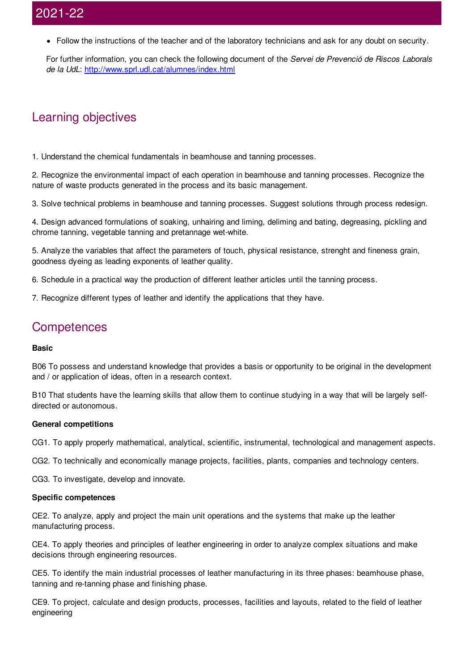Follow the instructions of the teacher and of the laboratory technicians and ask for any doubt on security.

For further information, you can check the following document of the *Servei de Prevenció de Riscos Laborals de la UdL*: <http://www.sprl.udl.cat/alumnes/index.html>

## Learning objectives

1. Understand the chemical fundamentals in beamhouse and tanning processes.

2. Recognize the environmental impact of each operation in beamhouse and tanning processes. Recognize the nature of waste products generated in the process and its basic management.

3. Solve technical problems in beamhouse and tanning processes. Suggest solutions through process redesign.

4. Design advanced formulations of soaking, unhairing and liming, deliming and bating, degreasing, pickling and chrome tanning, vegetable tanning and pretannage wet-white.

5. Analyze the variables that affect the parameters of touch, physical resistance, strenght and fineness grain, goodness dyeing as leading exponents of leather quality.

6. Schedule in a practical way the production of different leather articles until the tanning process.

7. Recognize different types of leather and identify the applications that they have.

### **Competences**

#### **Basic**

B06 To possess and understand knowledge that provides a basis or opportunity to be original in the development and / or application of ideas, often in a research context.

B10 That students have the learning skills that allow them to continue studying in a way that will be largely selfdirected or autonomous.

#### **General competitions**

CG1. To apply properly mathematical, analytical, scientific, instrumental, technological and management aspects.

CG2. To technically and economically manage projects, facilities, plants, companies and technology centers.

CG3. To investigate, develop and innovate.

#### **Specific competences**

CE2. To analyze, apply and project the main unit operations and the systems that make up the leather manufacturing process.

CE4. To apply theories and principles of leather engineering in order to analyze complex situations and make decisions through engineering resources.

CE5. To identify the main industrial processes of leather manufacturing in its three phases: beamhouse phase, tanning and re-tanning phase and finishing phase.

CE9. To project, calculate and design products, processes, facilities and layouts, related to the field of leather engineering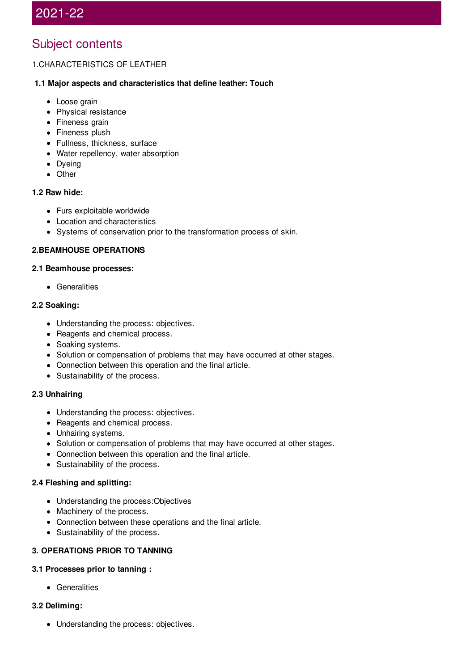## Subject contents

#### 1.CHARACTERISTICS OF LEATHER

#### **1.1 Major aspects and characteristics that define leather: Touch**

- Loose grain
- Physical resistance
- Fineness grain
- Fineness plush
- Fullness, thickness, surface
- Water repellency, water absorption
- Dyeing
- Other

#### **1.2 Raw hide:**

- Furs exploitable worldwide
- Location and characteristics
- Systems of conservation prior to the transformation process of skin.

#### **2.BEAMHOUSE OPERATIONS**

#### **2.1 Beamhouse processes:**

**•** Generalities

#### **2.2 Soaking:**

- Understanding the process: objectives.
- Reagents and chemical process.
- Soaking systems.
- Solution or compensation of problems that may have occurred at other stages.
- Connection between this operation and the final article.
- Sustainability of the process.

#### **2.3 Unhairing**

- Understanding the process: objectives.
- Reagents and chemical process.
- Unhairing systems.
- Solution or compensation of problems that may have occurred at other stages.
- Connection between this operation and the final article.
- Sustainability of the process.

#### **2.4 Fleshing and splitting:**

- Understanding the process: Objectives
- Machinery of the process.
- Connection between these operations and the final article.
- Sustainability of the process.

#### **3. OPERATIONS PRIOR TO TANNING**

#### **3.1 Processes prior to tanning :**

• Generalities

#### **3.2 Deliming:**

• Understanding the process: objectives.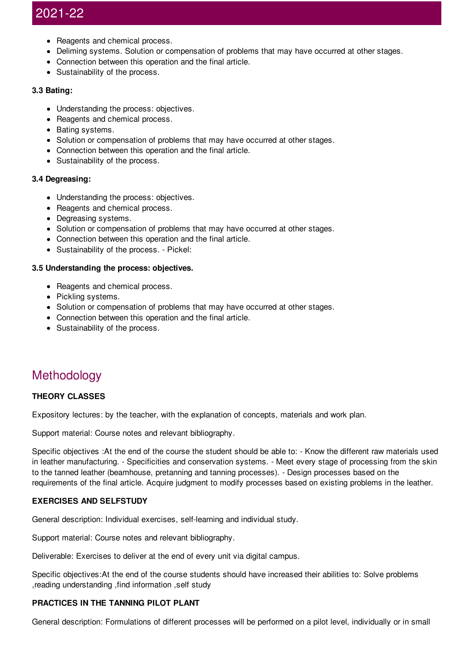- Reagents and chemical process.
- Deliming systems. Solution or compensation of problems that may have occurred at other stages.
- Connection between this operation and the final article.
- Sustainability of the process.

#### **3.3 Bating:**

- Understanding the process: objectives.
- Reagents and chemical process.
- Bating systems.
- Solution or compensation of problems that may have occurred at other stages.
- Connection between this operation and the final article.
- Sustainability of the process.

#### **3.4 Degreasing:**

- Understanding the process: objectives.
- Reagents and chemical process.
- Degreasing systems.
- Solution or compensation of problems that may have occurred at other stages.
- Connection between this operation and the final article.
- Sustainability of the process. Pickel:

#### **3.5 Understanding the process: objectives.**

- Reagents and chemical process.
- Pickling systems.
- Solution or compensation of problems that may have occurred at other stages.
- Connection between this operation and the final article.
- Sustainability of the process.

## **Methodology**

#### **THEORY CLASSES**

Expository lectures: by the teacher, with the explanation of concepts, materials and work plan.

Support material: Course notes and relevant bibliography.

Specific objectives :At the end of the course the student should be able to: - Know the different raw materials used in leather manufacturing. - Specificities and conservation systems. - Meet every stage of processing from the skin to the tanned leather (beamhouse, pretanning and tanning processes). - Design processes based on the requirements of the final article. Acquire judgment to modify processes based on existing problems in the leather.

#### **EXERCISES AND SELFSTUDY**

General description: Individual exercises, self-learning and individual study.

Support material: Course notes and relevant bibliography.

Deliverable: Exercises to deliver at the end of every unit via digital campus.

Specific objectives:At the end of the course students should have increased their abilities to: Solve problems ,reading understanding ,find information ,self study

#### **PRACTICES IN THE TANNING PILOT PLANT**

General description: Formulations of different processes will be performed on a pilot level, individually or in small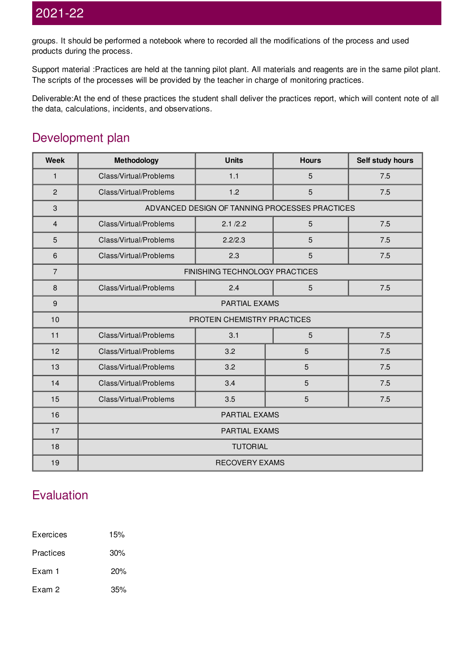groups. It should be performed a notebook where to recorded all the modifications of the process and used products during the process.

Support material :Practices are held at the tanning pilot plant. All materials and reagents are in the same pilot plant. The scripts of the processes will be provided by the teacher in charge of monitoring practices.

Deliverable:At the end of these practices the student shall deliver the practices report, which will content note of all the data, calculations, incidents, and observations.

## Development plan

| <b>Week</b>    | Methodology                                    | <b>Units</b> | <b>Hours</b> | Self study hours |  |
|----------------|------------------------------------------------|--------------|--------------|------------------|--|
| $\mathbf{1}$   | Class/Virtual/Problems                         | 1.1          | 5            | 7.5              |  |
| $\overline{c}$ | Class/Virtual/Problems                         | 1.2          | 5            | 7.5              |  |
| $\sqrt{3}$     | ADVANCED DESIGN OF TANNING PROCESSES PRACTICES |              |              |                  |  |
| 4              | Class/Virtual/Problems                         | 2.1 / 2.2    | 5            | 7.5              |  |
| 5              | Class/Virtual/Problems                         | 2.2/2.3      | 5            | 7.5              |  |
| 6              | Class/Virtual/Problems                         | 2.3          | 5            | 7.5              |  |
| $\overline{7}$ | FINISHING TECHNOLOGY PRACTICES                 |              |              |                  |  |
| 8              | Class/Virtual/Problems                         | 2.4          | 5            | 7.5              |  |
| 9              | PARTIAL EXAMS                                  |              |              |                  |  |
| 10             | PROTEIN CHEMISTRY PRACTICES                    |              |              |                  |  |
| 11             | Class/Virtual/Problems                         | 3.1          | 5            | 7.5              |  |
| 12             | Class/Virtual/Problems                         | 3.2          | 5            | 7.5              |  |
| 13             | Class/Virtual/Problems                         | 3.2          | 5            | 7.5              |  |
| 14             | Class/Virtual/Problems                         | 3.4          | 5            | 7.5              |  |
| 15             | Class/Virtual/Problems                         | 3.5          | 5            | 7.5              |  |
| 16             | PARTIAL EXAMS                                  |              |              |                  |  |
| 17             | PARTIAL EXAMS                                  |              |              |                  |  |
| 18             | <b>TUTORIAL</b>                                |              |              |                  |  |
| 19             | <b>RECOVERY EXAMS</b>                          |              |              |                  |  |

## Evaluation

| Exercices | 15%    |  |  |
|-----------|--------|--|--|
| Practices | $30\%$ |  |  |
| Exam 1    | 20%    |  |  |
| Exam 2    | 35%    |  |  |